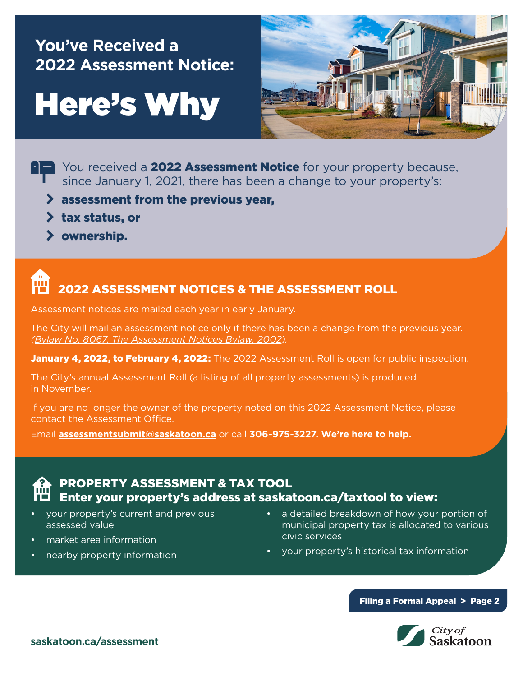# **You've Received a 2022 Assessment Notice:**

# Here's Why



- You received a **2022 Assessment Notice** for your property because, since January 1, 2021, there has been a change to your property's:
	- $\lambda$  assessment from the previous year,
	- $\lambda$  tax status, or
	- > ownership.

# 2022 ASSESSMENT NOTICES & THE ASSESSMENT ROLL

Assessment notices are mailed each year in early January.

The City will mail an assessment notice only if there has been a change from the previous year. *([Bylaw No. 8067, The Assessment Notices Bylaw, 2002\)](https://www.saskatoon.ca/content/bylaw-8067-assessment-notices-bylaw-2002).*

January 4, 2022, to February 4, 2022: The 2022 Assessment Roll is open for public inspection.

The City's annual Assessment Roll (a listing of all property assessments) is produced in November.

If you are no longer the owner of the property noted on this 2022 Assessment Notice, please contact the Assessment Office.

Email **[assessmentsubmit@saskatoon.ca](mailto:assessmentsubmit@saskatoon.ca)** or call **306-975-3227. We're here to help.**

# PROPERTY ASSESSMENT & TAX TOOL Enter your property's address at [saskatoon.ca/taxtool](https://www.saskatoon.ca/services-residents/property-tax-assessments/property-tax/property-assessment-tax-tool) to view:

- your property's current and previous assessed value
- market area information
- nearby property information
- a detailed breakdown of how your portion of municipal property tax is allocated to various civic services
- your property's historical tax information

#### Filing a Formal Appeal > Page 2